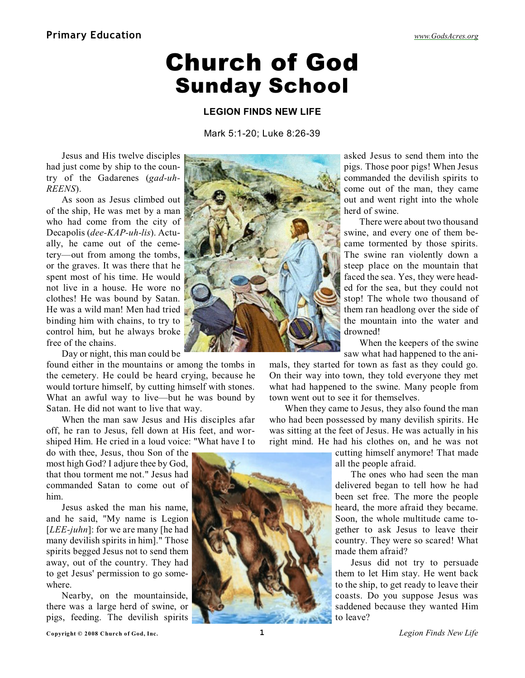## Church of God Sunday School

**LEGION FINDS NEW LIFE**

Mark 5:1-20; Luke 8:26-39

Jesus and His twelve disciples had just come by ship to the country of the Gadarenes (*gad-uh-REENS*).

As soon as Jesus climbed out of the ship, He was met by a man who had come from the city of Decapolis (*dee-KAP-uh-lis*). Actually, he came out of the cemetery—out from among the tombs, or the graves. It was there that he spent most of his time. He would not live in a house. He wore no clothes! He was bound by Satan. He was a wild man! Men had tried binding him with chains, to try to control him, but he always broke free of the chains.

Day or night, this man could be

found either in the mountains or among the tombs in the cemetery. He could be heard crying, because he would torture himself, by cutting himself with stones. What an awful way to live—but he was bound by Satan. He did not want to live that way.

When the man saw Jesus and His disciples afar off, he ran to Jesus, fell down at His feet, and worshiped Him. He cried in a loud voice: "What have I to

do with thee, Jesus, thou Son of the most high God? I adjure thee by God, that thou torment me not." Jesus had commanded Satan to come out of him.

Jesus asked the man his name, and he said, "My name is Legion [*LEE-juhn*]: for we are many [he had many devilish spirits in him]." Those spirits begged Jesus not to send them away, out of the country. They had to get Jesus' permission to go somewhere.

Nearby, on the mountainside, there was a large herd of swine, or pigs, feeding. The devilish spirits



asked Jesus to send them into the pigs. Those poor pigs! When Jesus commanded the devilish spirits to come out of the man, they came out and went right into the whole herd of swine.

There were about two thousand swine, and every one of them became tormented by those spirits. The swine ran violently down a steep place on the mountain that faced the sea. Yes, they were headed for the sea, but they could not stop! The whole two thousand of them ran headlong over the side of the mountain into the water and drowned!

When the keepers of the swine saw what had happened to the ani-

mals, they started for town as fast as they could go. On their way into town, they told everyone they met what had happened to the swine. Many people from town went out to see it for themselves.

When they came to Jesus, they also found the man who had been possessed by many devilish spirits. He was sitting at the feet of Jesus. He was actually in his right mind. He had his clothes on, and he was not

cutting himself anymore! That made all the people afraid.

The ones who had seen the man delivered began to tell how he had been set free. The more the people heard, the more afraid they became. Soon, the whole multitude came together to ask Jesus to leave their country. They were so scared! What made them afraid?

Jesus did not try to persuade them to let Him stay. He went back to the ship, to get ready to leave their coasts. Do you suppose Jesus was saddened because they wanted Him to leave?